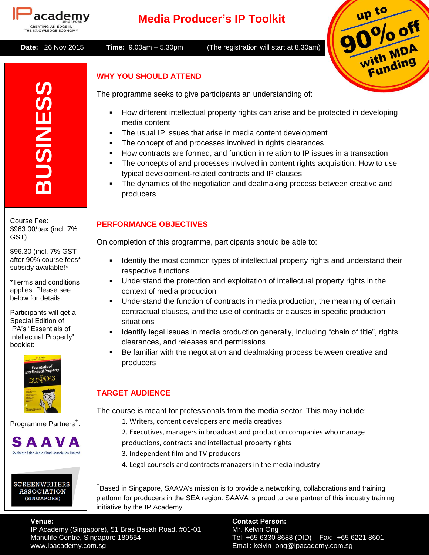

# **Media Producer's IP Toolkit**

 **Date:** 26 Nov 2015 **Time:** 9.00am – 5.30pm (The registration will start at 8.30am)



# **WHY YOU SHOULD ATTEND**

The programme seeks to give participants an understanding of:

- How different intellectual property rights can arise and be protected in developing media content
	- The usual IP issues that arise in media content development
	- The concept of and processes involved in rights clearances
- How contracts are formed, and function in relation to IP issues in a transaction
- The concepts of and processes involved in content rights acquisition. How to use typical development-related contracts and IP clauses
- The dynamics of the negotiation and dealmaking process between creative and producers

# **PERFORMANCE OBJECTIVES**

On completion of this programme, participants should be able to:

- Identify the most common types of intellectual property rights and understand their respective functions
- Understand the protection and exploitation of intellectual property rights in the context of media production
- Understand the function of contracts in media production, the meaning of certain contractual clauses, and the use of contracts or clauses in specific production situations
- Identify legal issues in media production generally, including "chain of title", rights clearances, and releases and permissions
- Be familiar with the negotiation and dealmaking process between creative and producers

# **TARGET AUDIENCE**

The course is meant for professionals from the media sector. This may include:

- 1. Writers, content developers and media creatives
- 2. Executives, managers in broadcast and production companies who manage
- productions, contracts and intellectual property rights
- 3. Independent film and TV producers
- 4. Legal counsels and contracts managers in the media industry

+ Based in Singapore, SAAVA's mission is to provide a networking, collaborations and training platform for producers in the SEA region. SAAVA is proud to be a partner of this industry training initiative by the IP Academy.

**Venue: Contact Person:** IP Academy (Singapore), 51 Bras Basah Road, #01-01 Mr. Kelvin Ong<br>Manulife Centre, Singapore 189554 www.ipacademy.com.sg Email: kelvin\_ong@ipacademy.com.sg

Tel: +65 6330 8688 (DID) Fax: +65 6221 8601

**BUSINESS** Course Fee:

\$963.00/pax (incl. 7% GST)

\$96.30 (incl. 7% GST after 90% course fees\* subsidy available!\*

\*Terms and conditions applies. Please see below for details.

Participants will get a Special Edition of IPA's "Essentials of Intellectual Property" booklet:



Programme Partners<sup>+</sup>:

# SAAVA Southeast Asian Audio-Visual Association Limited

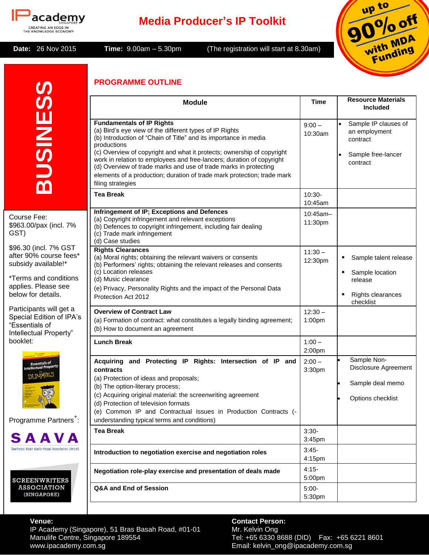

# **Media Producer's IP Toolkit**

**Date:** 26 Nov 2015 **Time:** 9.00am – 5.30pm (The registration will start at 8.30am)



## **PROGRAMME OUTLINE**

|                                                                                                 | PROGRAMME OUTLINE                                                                                                                                                                                                                                                                                                                                                                                                                                                                                     |                      |                                                                                     |
|-------------------------------------------------------------------------------------------------|-------------------------------------------------------------------------------------------------------------------------------------------------------------------------------------------------------------------------------------------------------------------------------------------------------------------------------------------------------------------------------------------------------------------------------------------------------------------------------------------------------|----------------------|-------------------------------------------------------------------------------------|
|                                                                                                 | <b>Module</b>                                                                                                                                                                                                                                                                                                                                                                                                                                                                                         | Time                 | <b>Resource Materials</b><br><b>Included</b>                                        |
| <b>BUSINESS</b>                                                                                 | <b>Fundamentals of IP Rights</b><br>(a) Bird's eye view of the different types of IP Rights<br>(b) Introduction of "Chain of Title" and its importance in media<br>productions<br>(c) Overview of copyright and what it protects; ownership of copyright<br>work in relation to employees and free-lancers; duration of copyright<br>(d) Overview of trade marks and use of trade marks in protecting<br>elements of a production; duration of trade mark protection; trade mark<br>filing strategies | $9:00 -$<br>10:30am  | Sample IP clauses of<br>an employment<br>contract<br>Sample free-lancer<br>contract |
|                                                                                                 | <b>Tea Break</b>                                                                                                                                                                                                                                                                                                                                                                                                                                                                                      | 10:30-<br>10:45am    |                                                                                     |
| Course Fee:<br>\$963.00/pax (incl. 7%)<br>GST)                                                  | Infringement of IP; Exceptions and Defences<br>(a) Copyright infringement and relevant exceptions<br>(b) Defences to copyright infringement, including fair dealing<br>(c) Trade mark infringement<br>(d) Case studies                                                                                                                                                                                                                                                                                | 10:45am-<br>11:30pm  |                                                                                     |
| \$96.30 (incl. 7% GST<br>after 90% course fees*<br>subsidy available!*                          | <b>Rights Clearances</b><br>(a) Moral rights; obtaining the relevant waivers or consents<br>(b) Performers' rights; obtaining the relevant releases and consents<br>(c) Location releases                                                                                                                                                                                                                                                                                                             | $11:30 -$<br>12:30pm | Sample talent release<br>٠<br>Sample location<br>٠                                  |
| *Terms and conditions<br>applies. Please see<br>below for details.                              | (d) Music clearance<br>(e) Privacy, Personality Rights and the impact of the Personal Data<br>Protection Act 2012                                                                                                                                                                                                                                                                                                                                                                                     |                      | release<br>Rights clearances<br>п<br>checklist                                      |
| Participants will get a<br>Special Edition of IPA's<br>"Essentials of<br>Intellectual Property" | <b>Overview of Contract Law</b><br>(a) Formation of contract: what constitutes a legally binding agreement;<br>(b) How to document an agreement                                                                                                                                                                                                                                                                                                                                                       | $12:30 -$<br>1:00pm  |                                                                                     |
| booklet:                                                                                        | <b>Lunch Break</b>                                                                                                                                                                                                                                                                                                                                                                                                                                                                                    | $1:00 -$<br>2:00pm   |                                                                                     |
| Essentials of<br>(Intellectual Propert<br><b>DUMMIES</b><br>Programme Partners <sup>+</sup> :   | Acquiring and Protecting IP Rights: Intersection of IP and<br>contracts<br>(a) Protection of ideas and proposals;<br>(b) The option-literary process;<br>(c) Acquiring original material: the screenwriting agreement<br>(d) Protection of television formats<br>(e) Common IP and Contractual Issues in Production Contracts (-<br>understanding typical terms and conditions)                                                                                                                       | $2:00 -$<br>3:30pm   | Sample Non-<br>Disclosure Agreement<br>Sample deal memo<br>Options checklist        |
| SAAVA                                                                                           | <b>Tea Break</b>                                                                                                                                                                                                                                                                                                                                                                                                                                                                                      | $3:30-$<br>3:45pm    |                                                                                     |
| Southeast Asian Audio-Visual Association Limited                                                | Introduction to negotiation exercise and negotiation roles                                                                                                                                                                                                                                                                                                                                                                                                                                            | $3:45-$<br>4:15pm    |                                                                                     |
| <b>SCREENWRITERS</b>                                                                            | Negotiation role-play exercise and presentation of deals made                                                                                                                                                                                                                                                                                                                                                                                                                                         | $4:15-$<br>5:00pm    |                                                                                     |
| <b>ASSOCIATION</b><br>(SINGAPORE)                                                               | Q&A and End of Session                                                                                                                                                                                                                                                                                                                                                                                                                                                                                | $5:00-$<br>5:30pm    |                                                                                     |

**Venue:**<br>
IP Academy (Singapore), 51 Bras Basah Road, #01-01 Mr. Kelvin Ong<br>
Manulife Centre, Singapore 189554 **Tel:** +65 6330 8688 (DID) Fax: +65 6221 8601 IP Academy (Singapore), 51 Bras Basah Road, #01-01 Mr. Kelvin Ong Manulife Centre, Singapore 189554 Tel: +65 6330 8688 (DID) Fax: +65 6221 8601 www.ipacademy.com.sg Email: kelvin\_ong@ipacademy.com.sg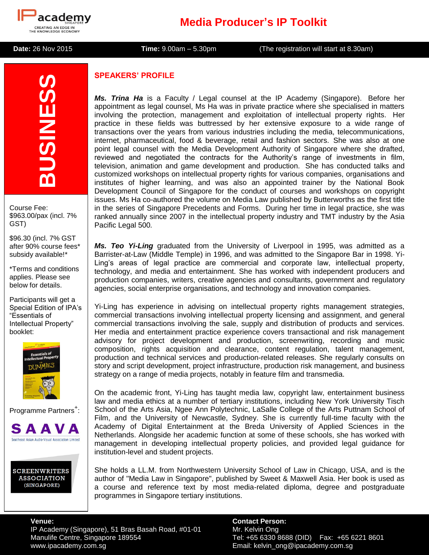

# **Media Producer's IP Toolkit**

**Date:** 26 Nov 2015 **Time:** 9.00am – 5.30pm (The registration will start at 8.30am)

# **BUSINESS**

Course Fee: \$963.00/pax (incl. 7% GST)

\$96.30 (incl. 7% GST after 90% course fees\* subsidy available!\*

\*Terms and conditions applies. Please see below for details.

Participants will get a Special Edition of IPA's "Essentials of Intellectual Property" booklet:



Programme Partners<sup>+</sup>:



**SCREENWRITERS ASSOCIATION** (SINGAPORE)

# **SPEAKERS' PROFILE**

*Ms. Trina Ha* is a Faculty / Legal counsel at the IP Academy (Singapore). Before her appointment as legal counsel, Ms Ha was in private practice where she specialised in matters involving the protection, management and exploitation of intellectual property rights. Her practice in these fields was buttressed by her extensive exposure to a wide range of transactions over the years from various industries including the media, telecommunications, internet, pharmaceutical, food & beverage, retail and fashion sectors. She was also at one point legal counsel with the Media Development Authority of Singapore where she drafted, reviewed and negotiated the contracts for the Authority's range of investments in film, television, animation and game development and production. She has conducted talks and customized workshops on intellectual property rights for various companies, organisations and institutes of higher learning, and was also an appointed trainer by the National Book Development Council of Singapore for the conduct of courses and workshops on copyright issues. Ms Ha co-authored the volume on Media Law published by Butterworths as the first title in the series of Singapore Precedents and Forms. During her time in legal practice, she was ranked annually since 2007 in the intellectual property industry and TMT industry by the Asia Pacific Legal 500*.*

*Ms. Teo Yi-Ling* graduated from the University of Liverpool in 1995, was admitted as a Barrister-at-Law (Middle Temple) in 1996, and was admitted to the Singapore Bar in 1998. Yi-Ling's areas of legal practice are commercial and corporate law, intellectual property, technology, and media and entertainment. She has worked with independent producers and production companies, writers, creative agencies and consultants, government and regulatory agencies, social enterprise organisations, and technology and innovation companies.

Yi-Ling has experience in advising on intellectual property rights management strategies, commercial transactions involving intellectual property licensing and assignment, and general commercial transactions involving the sale, supply and distribution of products and services. Her media and entertainment practice experience covers transactional and risk management advisory for project development and production, screenwriting, recording and music composition, rights acquisition and clearance, content regulation, talent management, production and technical services and production-related releases. She regularly consults on story and script development, project infrastructure, production risk management, and business strategy on a range of media projects, notably in feature film and transmedia.

On the academic front, Yi-Ling has taught media law, copyright law, entertainment business law and media ethics at a number of tertiary institutions, including New York University Tisch School of the Arts Asia, Ngee Ann Polytechnic, LaSalle College of the Arts Puttnam School of Film, and the University of Newcastle, Sydney. She is currently full-time faculty with the Academy of Digital Entertainment at the Breda University of Applied Sciences in the Netherlands. Alongside her academic function at some of these schools, she has worked with management in developing intellectual property policies, and provided legal guidance for institution-level and student projects.

She holds a LL.M. from Northwestern University School of Law in Chicago, USA, and is the author of "Media Law in Singapore", published by Sweet & Maxwell Asia. Her book is used as a course and reference text by most media-related diploma, degree and postgraduate programmes in Singapore tertiary institutions.

IP Academy (Singapore), 51 Bras Basah Road, #01-01 Mr. Kelvin Ong Manulife Centre, Singapore 189554 Tel: +65 6330 8688 (DID) Fax: +65 6221 8601 www.ipacademy.com.sg example and the example of the Email: kelvin\_ong@ipacademy.com.sg

**Venue: Contact Person:**